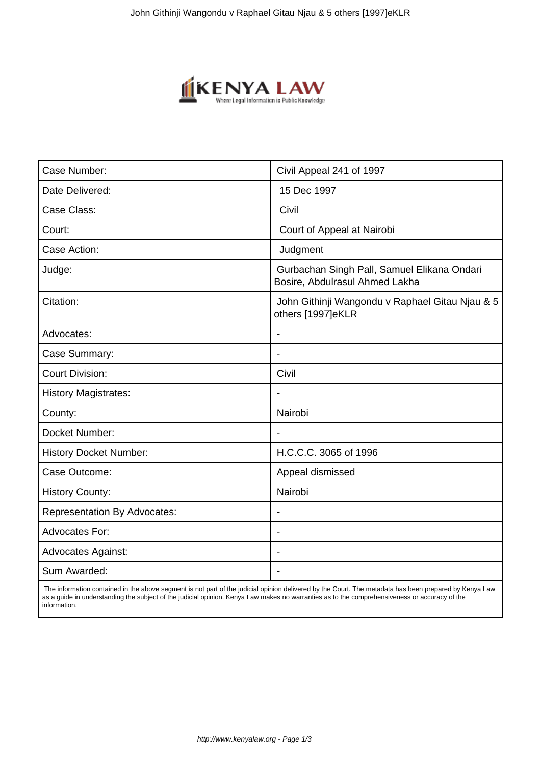

| Case Number:                        | Civil Appeal 241 of 1997                                                      |
|-------------------------------------|-------------------------------------------------------------------------------|
| Date Delivered:                     | 15 Dec 1997                                                                   |
| Case Class:                         | Civil                                                                         |
| Court:                              | Court of Appeal at Nairobi                                                    |
| Case Action:                        | Judgment                                                                      |
| Judge:                              | Gurbachan Singh Pall, Samuel Elikana Ondari<br>Bosire, Abdulrasul Ahmed Lakha |
| Citation:                           | John Githinji Wangondu v Raphael Gitau Njau & 5<br>others [1997]eKLR          |
| Advocates:                          | ÷.                                                                            |
| Case Summary:                       | $\overline{\phantom{a}}$                                                      |
| <b>Court Division:</b>              | Civil                                                                         |
| <b>History Magistrates:</b>         |                                                                               |
| County:                             | Nairobi                                                                       |
| Docket Number:                      | $\blacksquare$                                                                |
| <b>History Docket Number:</b>       | H.C.C.C. 3065 of 1996                                                         |
| Case Outcome:                       | Appeal dismissed                                                              |
| <b>History County:</b>              | Nairobi                                                                       |
| <b>Representation By Advocates:</b> | $\overline{\phantom{0}}$                                                      |
| <b>Advocates For:</b>               | ÷.                                                                            |
| <b>Advocates Against:</b>           |                                                                               |
| Sum Awarded:                        |                                                                               |

 The information contained in the above segment is not part of the judicial opinion delivered by the Court. The metadata has been prepared by Kenya Law as a guide in understanding the subject of the judicial opinion. Kenya Law makes no warranties as to the comprehensiveness or accuracy of the information.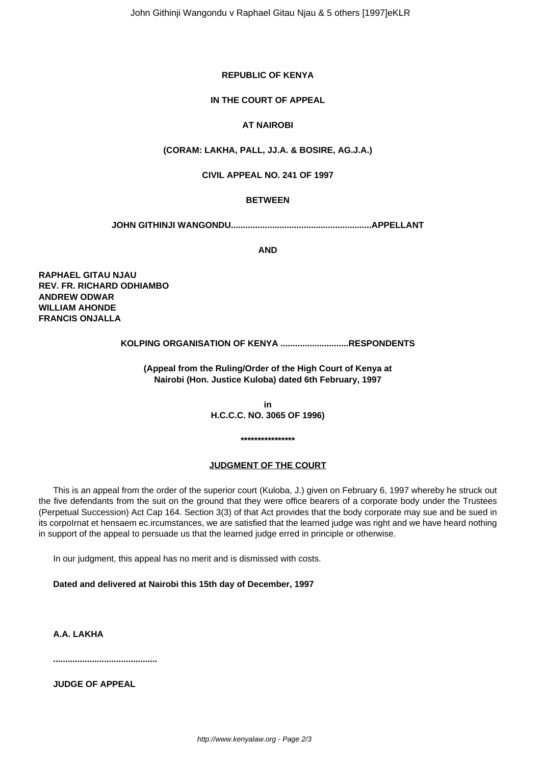# **REPUBLIC OF KENYA**

## **IN THE COURT OF APPEAL**

# **AT NAIROBI**

## **(CORAM: LAKHA, PALL, JJ.A. & BOSIRE, AG.J.A.)**

### **CIVIL APPEAL NO. 241 OF 1997**

## **BETWEEN**

**JOHN GITHINJI WANGONDU..........................................................APPELLANT**

**AND**

**RAPHAEL GITAU NJAU REV. FR. RICHARD ODHIAMBO ANDREW ODWAR WILLIAM AHONDE FRANCIS ONJALLA**

## **KOLPING ORGANISATION OF KENYA ............................RESPONDENTS**

**(Appeal from the Ruling/Order of the High Court of Kenya at Nairobi (Hon. Justice Kuloba) dated 6th February, 1997**

> **in H.C.C.C. NO. 3065 OF 1996)**

> > **\*\*\*\*\*\*\*\*\*\*\*\*\*\*\*\***

#### **JUDGMENT OF THE COURT**

This is an appeal from the order of the superior court (Kuloba, J.) given on February 6, 1997 whereby he struck out the five defendants from the suit on the ground that they were office bearers of a corporate body under the Trustees (Perpetual Succession) Act Cap 164. Section 3(3) of that Act provides that the body corporate may sue and be sued in its corpoIrnat et hensaem ec.ircumstances, we are satisfied that the learned judge was right and we have heard nothing in support of the appeal to persuade us that the learned judge erred in principle or otherwise.

In our judgment, this appeal has no merit and is dismissed with costs.

**Dated and delivered at Nairobi this 15th day of December, 1997**

**A.A. LAKHA** 

**...........................................**

**JUDGE OF APPEAL**